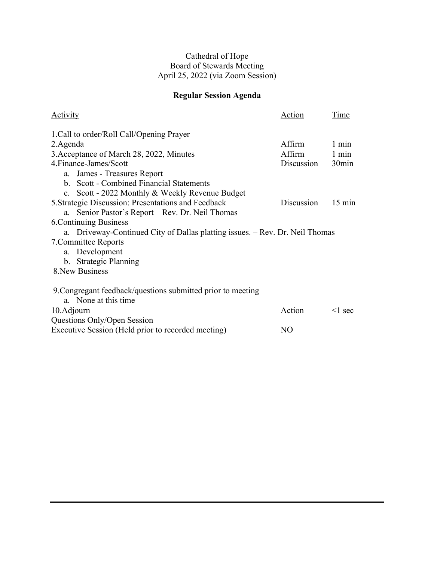### Cathedral of Hope Board of Stewards Meeting April 25, 2022 (via Zoom Session)

# **Regular Session Agenda**

| Activity                                                                     | Action         | Time              |
|------------------------------------------------------------------------------|----------------|-------------------|
| 1. Call to order/Roll Call/Opening Prayer                                    |                |                   |
| 2. Agenda                                                                    | Affirm         | $1 \text{ min}$   |
| 3. Acceptance of March 28, 2022, Minutes                                     | Affirm         | $1 \text{ min}$   |
| 4. Finance-James/Scott                                                       | Discussion     | 30 <sub>min</sub> |
| a. James - Treasures Report                                                  |                |                   |
| b. Scott - Combined Financial Statements                                     |                |                   |
| c. Scott - 2022 Monthly & Weekly Revenue Budget                              |                |                   |
| 5. Strategic Discussion: Presentations and Feedback                          | Discussion     | $15 \text{ min}$  |
| a. Senior Pastor's Report – Rev. Dr. Neil Thomas                             |                |                   |
| <b>6. Continuing Business</b>                                                |                |                   |
| a. Driveway-Continued City of Dallas platting issues. - Rev. Dr. Neil Thomas |                |                   |
| 7. Committee Reports                                                         |                |                   |
| a. Development                                                               |                |                   |
| b. Strategic Planning                                                        |                |                   |
| 8. New Business                                                              |                |                   |
| 9. Congregant feedback/questions submitted prior to meeting                  |                |                   |
| a. None at this time                                                         |                |                   |
| 10. Adjourn                                                                  | Action         | $\leq$ 1 sec      |
| Questions Only/Open Session                                                  |                |                   |
| Executive Session (Held prior to recorded meeting)                           | N <sub>O</sub> |                   |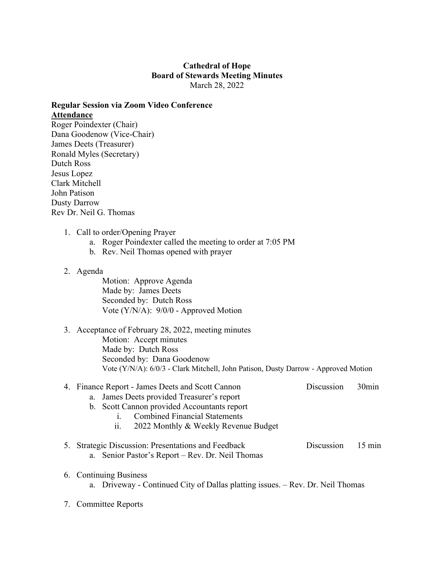### **Cathedral of Hope Board of Stewards Meeting Minutes** March 28, 2022

## **Regular Session via Zoom Video Conference Attendance**

Roger Poindexter (Chair) Dana Goodenow (Vice-Chair) James Deets (Treasurer) Ronald Myles (Secretary) Dutch Ross Jesus Lopez Clark Mitchell John Patison Dusty Darrow Rev Dr. Neil G. Thomas

- 1. Call to order/Opening Prayer
	- a. Roger Poindexter called the meeting to order at 7:05 PM
	- b. Rev. Neil Thomas opened with prayer
- 2. Agenda

Motion: Approve Agenda Made by: James Deets Seconded by: Dutch Ross Vote (Y/N/A): 9/0/0 - Approved Motion

#### 3. Acceptance of February 28, 2022, meeting minutes Motion: Accept minutes Made by: Dutch Ross Seconded by: Dana Goodenow Vote (Y/N/A): 6/0/3 - Clark Mitchell, John Patison, Dusty Darrow - Approved Motion

#### 4. Finance Report - James Deets and Scott Cannon Discussion 30min

- a. James Deets provided Treasurer's report
- b. Scott Cannon provided Accountants report
	- i. Combined Financial Statements
	- ii. 2022 Monthly & Weekly Revenue Budget
- 5. Strategic Discussion: Presentations and Feedback Discussion 15 min a. Senior Pastor's Report – Rev. Dr. Neil Thomas
- 6. Continuing Business a. Driveway - Continued City of Dallas platting issues. – Rev. Dr. Neil Thomas
- 7. Committee Reports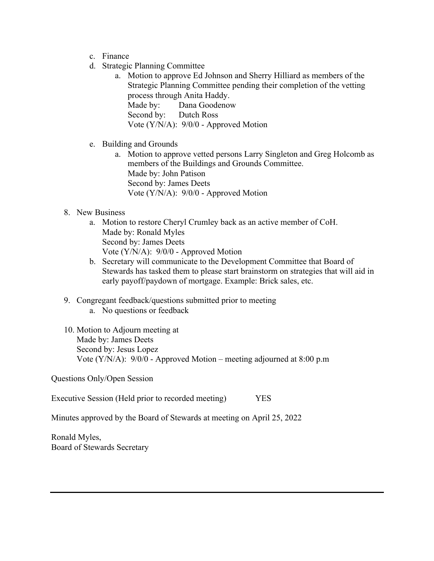- c. Finance
- d. Strategic Planning Committee
	- a. Motion to approve Ed Johnson and Sherry Hilliard as members of the Strategic Planning Committee pending their completion of the vetting process through Anita Haddy. Made by: Dana Goodenow Second by: Dutch Ross Vote (Y/N/A): 9/0/0 - Approved Motion

## e. Building and Grounds

a. Motion to approve vetted persons Larry Singleton and Greg Holcomb as members of the Buildings and Grounds Committee. Made by: John Patison Second by: James Deets Vote (Y/N/A): 9/0/0 - Approved Motion

### 8. New Business

- a. Motion to restore Cheryl Crumley back as an active member of CoH. Made by: Ronald Myles Second by: James Deets Vote (Y/N/A): 9/0/0 - Approved Motion
- b. Secretary will communicate to the Development Committee that Board of Stewards has tasked them to please start brainstorm on strategies that will aid in early payoff/paydown of mortgage. Example: Brick sales, etc.
- 9. Congregant feedback/questions submitted prior to meeting
	- a. No questions or feedback
- 10. Motion to Adjourn meeting at Made by: James Deets Second by: Jesus Lopez Vote (Y/N/A): 9/0/0 - Approved Motion – meeting adjourned at 8:00 p.m

Questions Only/Open Session

Executive Session (Held prior to recorded meeting) YES

Minutes approved by the Board of Stewards at meeting on April 25, 2022

Ronald Myles, Board of Stewards Secretary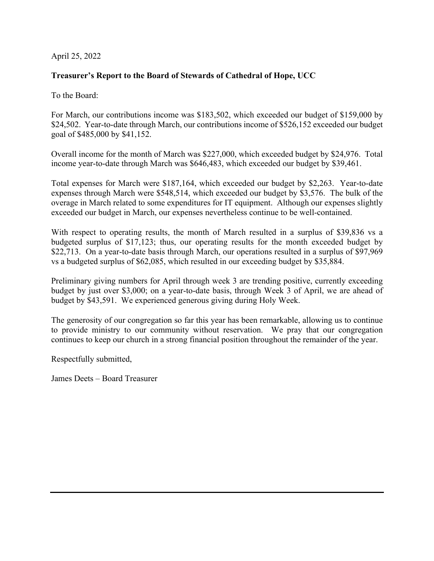### April 25, 2022

## **Treasurer's Report to the Board of Stewards of Cathedral of Hope, UCC**

To the Board:

For March, our contributions income was \$183,502, which exceeded our budget of \$159,000 by \$24,502. Year-to-date through March, our contributions income of \$526,152 exceeded our budget goal of \$485,000 by \$41,152.

Overall income for the month of March was \$227,000, which exceeded budget by \$24,976. Total income year-to-date through March was \$646,483, which exceeded our budget by \$39,461.

Total expenses for March were \$187,164, which exceeded our budget by \$2,263. Year-to-date expenses through March were \$548,514, which exceeded our budget by \$3,576. The bulk of the overage in March related to some expenditures for IT equipment. Although our expenses slightly exceeded our budget in March, our expenses nevertheless continue to be well-contained.

With respect to operating results, the month of March resulted in a surplus of \$39,836 vs a budgeted surplus of \$17,123; thus, our operating results for the month exceeded budget by \$22,713. On a year-to-date basis through March, our operations resulted in a surplus of \$97,969 vs a budgeted surplus of \$62,085, which resulted in our exceeding budget by \$35,884.

Preliminary giving numbers for April through week 3 are trending positive, currently exceeding budget by just over \$3,000; on a year-to-date basis, through Week 3 of April, we are ahead of budget by \$43,591. We experienced generous giving during Holy Week.

The generosity of our congregation so far this year has been remarkable, allowing us to continue to provide ministry to our community without reservation. We pray that our congregation continues to keep our church in a strong financial position throughout the remainder of the year.

Respectfully submitted,

James Deets – Board Treasurer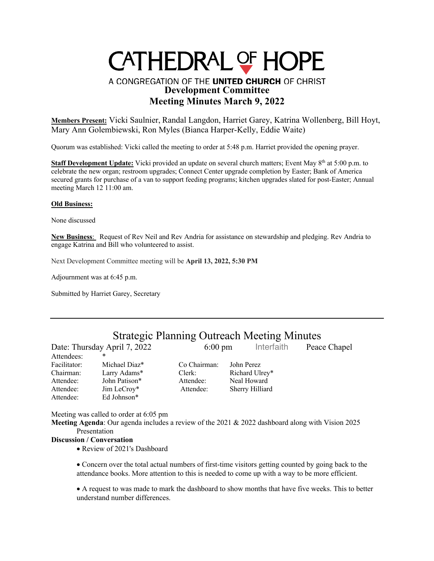# CATHEDRAL OF HOPE

# A CONGREGATION OF THE UNITED CHURCH OF CHRIST **Development Committee Meeting Minutes March 9, 2022**

**Members Present:** Vicki Saulnier, Randal Langdon, Harriet Garey, Katrina Wollenberg, Bill Hoyt, Mary Ann Golembiewski, Ron Myles (Bianca Harper-Kelly, Eddie Waite)

Quorum was established: Vicki called the meeting to order at 5:48 p.m. Harriet provided the opening prayer.

Staff Development Update: Vicki provided an update on several church matters; Event May 8<sup>th</sup> at 5:00 p.m. to celebrate the new organ; restroom upgrades; Connect Center upgrade completion by Easter; Bank of America secured grants for purchase of a van to support feeding programs; kitchen upgrades slated for post-Easter; Annual meeting March 12 11:00 am.

#### **Old Business:**

None discussed

**New Business**: Request of Rev Neil and Rev Andria for assistance on stewardship and pledging. Rev Andria to engage Katrina and Bill who volunteered to assist.

Next Development Committee meeting will be **April 13, 2022, 5:30 PM**

Adjournment was at 6:45 p.m.

Submitted by Harriet Garey, Secretary

# Strategic Planning Outreach Meeting Minutes

Date: Thursday April 7, 2022 6:00 pm Interfaith Peace Chapel Attendees: Facilitator: Michael Diaz\* Co Chairman: John Perez Chairman: Larry Adams\* Clerk: Richard Ulrey\* Attendee: John Patison\* Attendee: Neal Howard Attendee: Jim LeCroy\* Attendee: Sherry Hilliard Attendee: Ed Johnson\*

Meeting was called to order at 6:05 pm

**Meeting Agenda**: Our agenda includes a review of the 2021 & 2022 dashboard along with Vision 2025 Presentation

#### **Discussion / Conversation**

• Review of 2021's Dashboard

• Concern over the total actual numbers of first-time visitors getting counted by going back to the attendance books. More attention to this is needed to come up with a way to be more efficient.

• A request to was made to mark the dashboard to show months that have five weeks. This to better understand number differences.